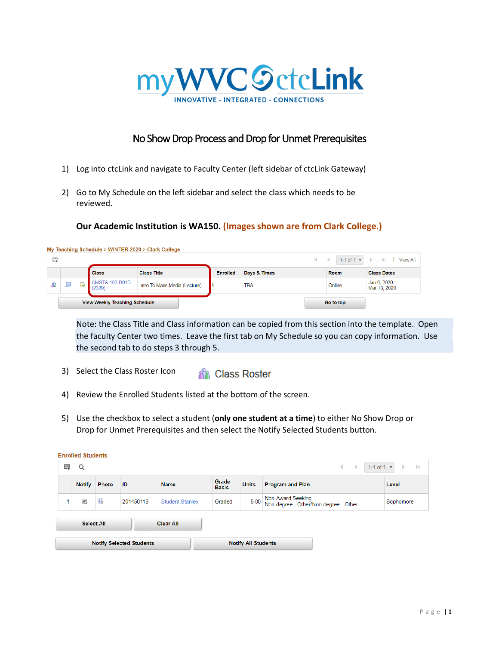

## No Show Drop Process and Drop for Unmet Prerequisites

- 1) Log into ctcLink and navigate to Faculty Center (left sidebar of ctcLink Gateway)
- 2) Go to My Schedule on the left sidebar and select the class which needs to be reviewed.

## **Our Academic Institution is WA150. (Images shown are from Clark College.)**

| 围   |   |                         |                                     | My Teaching Schedule > WINTER $2020$ > Clark College |                 |              |             | $\vert \vert$ $\vert$ $\vert$ 1-1 of 1 $\vert$ $\vert$ $\vert$ View All |
|-----|---|-------------------------|-------------------------------------|------------------------------------------------------|-----------------|--------------|-------------|-------------------------------------------------------------------------|
|     |   |                         | Class                               | <b>Class Title</b>                                   | <b>Enrolled</b> | Days & Times | <b>Room</b> | <b>Class Dates</b>                                                      |
| ЯB. | 鄝 | $\overline{\mathbf{v}}$ | <b>CMST&amp; 102-D01D</b><br>(2339) | Intro To Mass Media (Lecture)                        |                 | <b>TBA</b>   | Online      | Jan 6, 2020-<br>Mar 13, 2020                                            |
|     |   |                         | View Weekly Teaching Schedule       |                                                      |                 |              | Go to top   |                                                                         |

Note: the Class Title and Class information can be copied from this section into the template. Open the faculty Center two times. Leave the first tab on My Schedule so you can copy information. Use the second tab to do steps 3 through 5.

- 3) Select the Class Roster Icon **RR** Class Roster
- 4) Review the Enrolled Students listed at the bottom of the screen.
- 5) Use the checkbox to select a student (**only one student at a time**) to either No Show Drop or Drop for Unmet Prerequisites and then select the Notify Selected Students button.

|                                 | <b>Enrolled Students</b>                                                |       |           |                  |                       |                            |                                                              |           |
|---------------------------------|-------------------------------------------------------------------------|-------|-----------|------------------|-----------------------|----------------------------|--------------------------------------------------------------|-----------|
| 国                               | $1-1$ of $1 \times$<br>K.<br>Q<br>$\sim$<br>$\rightarrow$ $\rightarrow$ |       |           |                  |                       |                            |                                                              |           |
|                                 | <b>Notify</b>                                                           | Photo | ID        | <b>Name</b>      | Grade<br><b>Basis</b> | <b>Units</b>               | <b>Program and Plan</b>                                      | Level     |
|                                 | $\blacktriangledown$                                                    | 歐     | 201450119 | Student, Stanley | Graded                | 5.00                       | Non-Award Seeking -<br>Non-degree - Other/Non-degree - Other | Sophomore |
|                                 | <b>Clear All</b><br><b>Select All</b>                                   |       |           |                  |                       |                            |                                                              |           |
| <b>Notify Selected Students</b> |                                                                         |       |           |                  |                       | <b>Notify All Students</b> |                                                              |           |